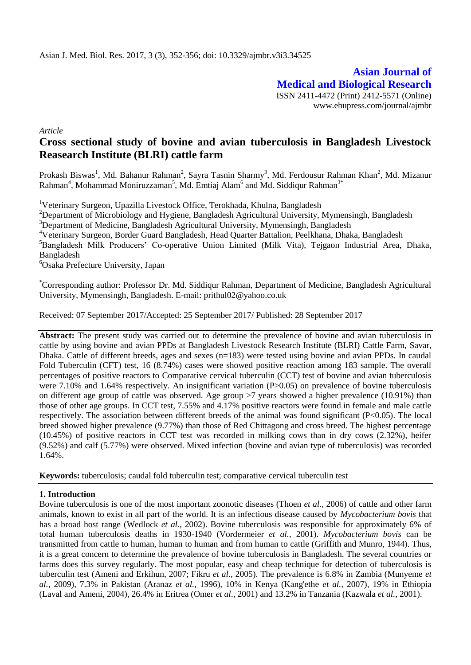**Asian Journal of Medical and Biological Research** ISSN 2411-4472 (Print) 2412-5571 (Online) www.ebupress.com/journal/ajmbr

*Article*

# **Cross sectional study of bovine and avian tuberculosis in Bangladesh Livestock Reasearch Institute (BLRI) cattle farm**

Prokash Biswas<sup>1</sup>, Md. Bahanur Rahman<sup>2</sup>, Sayra Tasnin Sharmy<sup>3</sup>, Md. Ferdousur Rahman Khan<sup>2</sup>, Md. Mizanur  $\mathrm{Rahman}^4$ , Mohammad Moniruzzaman<sup>5</sup>, Md. Emtiaj Alam<sup>6</sup> and Md. Siddiqur Rahman<sup>3\*</sup>

<sup>1</sup>Veterinary Surgeon, Upazilla Livestock Office, Terokhada, Khulna, Bangladesh

<sup>2</sup>Department of Microbiology and Hygiene, Bangladesh Agricultural University, Mymensingh, Bangladesh <sup>3</sup>Department of Medicine, Bangladesh Agricultural University, Mymensingh, Bangladesh

<sup>4</sup>Veterinary Surgeon, Border Guard Bangladesh, Head Quarter Battalion, Peelkhana, Dhaka, Bangladesh

<sup>5</sup>Bangladesh Milk Producers' Co-operative Union Limited (Milk Vita), Tejgaon Industrial Area, Dhaka, Bangladesh

<sup>6</sup>Osaka Prefecture University, Japan

\*Corresponding author: Professor Dr. Md. Siddiqur Rahman, Department of Medicine, Bangladesh Agricultural University, Mymensingh, Bangladesh. E-mail: prithul02@yahoo.co.uk

Received: 07 September 2017/Accepted: 25 September 2017/ Published: 28 September 2017

**Abstract:** The present study was carried out to determine the prevalence of bovine and avian tuberculosis in cattle by using bovine and avian PPDs at Bangladesh Livestock Research Institute (BLRI) Cattle Farm, Savar, Dhaka. Cattle of different breeds, ages and sexes (n=183) were tested using bovine and avian PPDs. In caudal Fold Tuberculin (CFT) test, 16 (8.74%) cases were showed positive reaction among 183 sample. The overall percentages of positive reactors to Comparative cervical tuberculin (CCT) test of bovine and avian tuberculosis were 7.10% and 1.64% respectively. An insignificant variation (P>0.05) on prevalence of bovine tuberculosis on different age group of cattle was observed. Age group  $>7$  years showed a higher prevalence (10.91%) than those of other age groups. In CCT test, 7.55% and 4.17% positive reactors were found in female and male cattle respectively. The association between different breeds of the animal was found significant (P<0.05). The local breed showed higher prevalence (9.77%) than those of Red Chittagong and cross breed. The highest percentage (10.45%) of positive reactors in CCT test was recorded in milking cows than in dry cows (2.32%), heifer (9.52%) and calf (5.77%) were observed. Mixed infection (bovine and avian type of tuberculosis) was recorded 1.64%.

**Keywords:** tuberculosis; caudal fold tuberculin test; comparative cervical tuberculin test

## **1. Introduction**

Bovine tuberculosis is one of the most important zoonotic diseases (Thoen *et al.,* 2006) of cattle and other farm animals, known to exist in all part of the world. It is an infectious disease caused by *Mycobacterium bovis* that has a broad host range (Wedlock *et al.,* 2002). Bovine tuberculosis was responsible for approximately 6% of total human tuberculosis deaths in 1930-1940 (Vordermeier *et al.,* 2001). *Mycobacterium bovis* can be transmitted from cattle to human, human to human and from human to cattle (Griffith and Munro, 1944). Thus, it is a great concern to determine the prevalence of bovine tuberculosis in Bangladesh. The several countries or farms does this survey regularly. The most popular, easy and cheap technique for detection of tuberculosis is tuberculin test (Ameni and Erkihun, 2007; Fikru *et al.,* 2005). The prevalence is 6.8% in Zambia (Munyeme *et al.,* 2009), 7.3% in Pakistan (Aranaz *et al.,* 1996), 10% in Kenya (Kang'ethe *et al.,* 2007), 19% in Ethiopia (Laval and Ameni, 2004), 26.4% in Eritrea (Omer *et al*., 2001) and 13.2% in Tanzania (Kazwala *et al.,* 2001).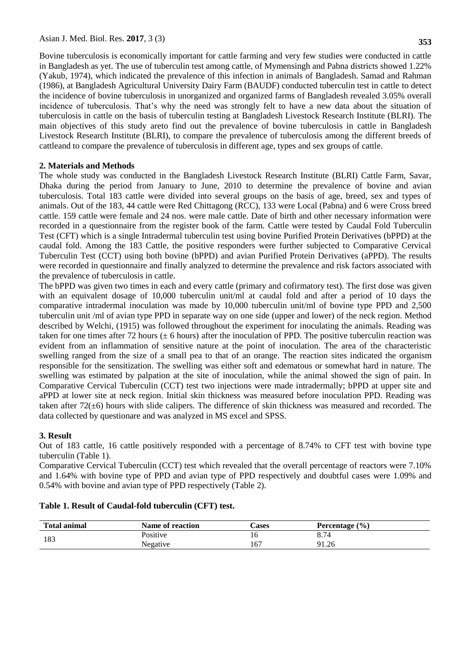Bovine tuberculosis is economically important for cattle farming and very few studies were conducted in cattle in Bangladesh as yet. The use of tuberculin test among cattle, of Mymensingh and Pabna districts showed 1.22% (Yakub, 1974), which indicated the prevalence of this infection in animals of Bangladesh. Samad and Rahman (1986), at Bangladesh Agricultural University Dairy Farm (BAUDF) conducted tuberculin test in cattle to detect the incidence of bovine tuberculosis in unorganized and organized farms of Bangladesh revealed 3.05% overall incidence of tuberculosis. That's why the need was strongly felt to have a new data about the situation of tuberculosis in cattle on the basis of tuberculin testing at Bangladesh Livestock Research Institute (BLRI). The main objectives of this study areto find out the prevalence of bovine tuberculosis in cattle in Bangladesh Livestock Research Institute (BLRI), to compare the prevalence of tuberculosis among the different breeds of cattleand to compare the prevalence of tuberculosis in different age, types and sex groups of cattle.

# **2. Materials and Methods**

The whole study was conducted in the Bangladesh Livestock Research Institute (BLRI) Cattle Farm, Savar, Dhaka during the period from January to June, 2010 to determine the prevalence of bovine and avian tuberculosis. Total 183 cattle were divided into several groups on the basis of age, breed, sex and types of animals. Out of the 183, 44 cattle were Red Chittagong (RCC), 133 were Local (Pabna) and 6 were Cross breed cattle. 159 cattle were female and 24 nos. were male cattle. Date of birth and other necessary information were recorded in a questionnaire from the register book of the farm. Cattle were tested by Caudal Fold Tuberculin Test (CFT) which is a single Intradermal tuberculin test using bovine Purified Protein Derivatives (bPPD) at the caudal fold. Among the 183 Cattle, the positive responders were further subjected to Comparative Cervical Tuberculin Test (CCT) using both bovine (bPPD) and avian Purified Protein Derivatives (aPPD). The results were recorded in questionnaire and finally analyzed to determine the prevalence and risk factors associated with the prevalence of tuberculosis in cattle.

The bPPD was given two times in each and every cattle (primary and cofirmatory test). The first dose was given with an equivalent dosage of 10,000 tuberculin unit/ml at caudal fold and after a period of 10 days the comparative intradermal inoculation was made by 10,000 tuberculin unit/ml of bovine type PPD and 2,500 tuberculin unit /ml of avian type PPD in separate way on one side (upper and lower) of the neck region. Method described by Welchi, (1915) was followed throughout the experiment for inoculating the animals. Reading was taken for one times after 72 hours ( $\pm$  6 hours) after the inoculation of PPD. The positive tuberculin reaction was evident from an inflammation of sensitive nature at the point of inoculation. The area of the characteristic swelling ranged from the size of a small pea to that of an orange. The reaction sites indicated the organism responsible for the sensitization. The swelling was either soft and edematous or somewhat hard in nature. The swelling was estimated by palpation at the site of inoculation, while the animal showed the sign of pain. In Comparative Cervical Tuberculin (CCT) test two injections were made intradermally; bPPD at upper site and aPPD at lower site at neck region. Initial skin thickness was measured before inoculation PPD. Reading was taken after  $72(\pm 6)$  hours with slide calipers. The difference of skin thickness was measured and recorded. The data collected by questionare and was analyzed in MS excel and SPSS.

## **3. Result**

Out of 183 cattle, 16 cattle positively responded with a percentage of 8.74% to CFT test with bovine type tuberculin (Table 1).

Comparative Cervical Tuberculin (CCT) test which revealed that the overall percentage of reactors were 7.10% and 1.64% with bovine type of PPD and avian type of PPD respectively and doubtful cases were 1.09% and 0.54% with bovine and avian type of PPD respectively (Table 2).

# **Table 1. Result of Caudal-fold tuberculin (CFT) test.**

| <b>Total animal</b> | Name of reaction | Cases | Percentage $(\% )$ |
|---------------------|------------------|-------|--------------------|
| 183                 | Positive         |       | 8.74               |
|                     | Negative         | 167   | 91.26              |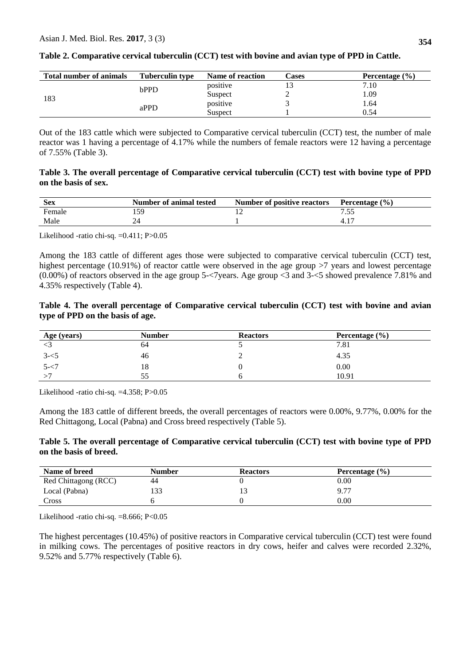| <b>Total number of animals</b> | <b>Tuberculin type</b> | Name of reaction | Cases | Percentage $(\% )$ |
|--------------------------------|------------------------|------------------|-------|--------------------|
| 183                            | bPPD                   | positive         |       | 7.10               |
|                                |                        | Suspect          |       | l.09               |
|                                | aPPD                   | positive         |       | 1.64               |
|                                |                        | Suspect          |       | 0.54               |

|  |  |  | Table 2. Comparative cervical tuberculin (CCT) test with bovine and avian type of PPD in Cattle. |
|--|--|--|--------------------------------------------------------------------------------------------------|
|  |  |  |                                                                                                  |

Out of the 183 cattle which were subjected to Comparative cervical tuberculin (CCT) test, the number of male reactor was 1 having a percentage of 4.17% while the numbers of female reactors were 12 having a percentage of 7.55% (Table 3).

#### **Table 3. The overall percentage of Comparative cervical tuberculin (CCT) test with bovine type of PPD on the basis of sex.**

| <b>Sex</b> | Number of animal tested | Number of positive reactors | Percentage $(\% )$ |
|------------|-------------------------|-----------------------------|--------------------|
| Female     |                         |                             |                    |
| Male       | 44                      |                             |                    |

Likelihood -ratio chi-sq. =0.411; P>0.05

Among the 183 cattle of different ages those were subjected to comparative cervical tuberculin (CCT) test, highest percentage (10.91%) of reactor cattle were observed in the age group >7 years and lowest percentage (0.00%) of reactors observed in the age group 5-<7years. Age group <3 and 3-<5 showed prevalence 7.81% and 4.35% respectively (Table 4).

## **Table 4. The overall percentage of Comparative cervical tuberculin (CCT) test with bovine and avian type of PPD on the basis of age.**

| Age (years) | <b>Number</b> | <b>Reactors</b> | Percentage $(\% )$ |
|-------------|---------------|-----------------|--------------------|
|             | 64            |                 | 7.81               |
| $3 - 5$     | 46            | ⊷               | 4.35               |
| $5 - 7$     | 18            |                 | 0.00               |
|             | 55            |                 | 10.91              |

Likelihood -ratio chi-sq. =4.358; P>0.05

Among the 183 cattle of different breeds, the overall percentages of reactors were 0.00%, 9.77%, 0.00% for the Red Chittagong, Local (Pabna) and Cross breed respectively (Table 5).

## **Table 5. The overall percentage of Comparative cervical tuberculin (CCT) test with bovine type of PPD on the basis of breed.**

| Name of breed        | Number | <b>Reactors</b> | Percentage $(\% )$ |
|----------------------|--------|-----------------|--------------------|
| Red Chittagong (RCC) | 44     |                 | $0.00\,$           |
| Local (Pabna)        | 133    |                 | 9.77               |
| Cross                |        |                 | $0.00\,$           |

Likelihood -ratio chi-sq. =8.666; P<0.05

The highest percentages (10.45%) of positive reactors in Comparative cervical tuberculin (CCT) test were found in milking cows. The percentages of positive reactors in dry cows, heifer and calves were recorded 2.32%, 9.52% and 5.77% respectively (Table 6).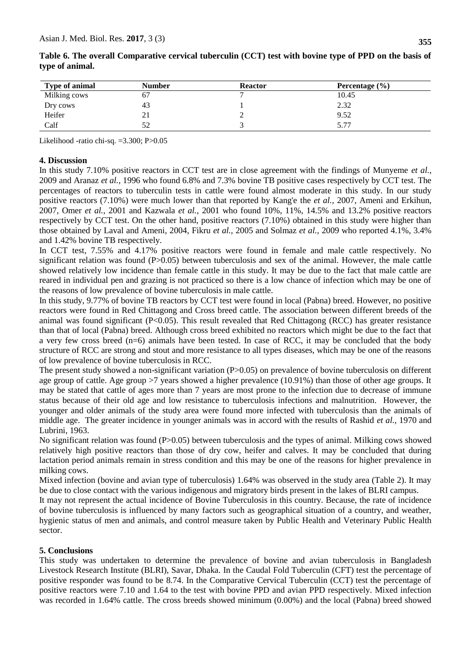| <b>Type of animal</b> | <b>Number</b> | <b>Reactor</b> | Percentage $(\% )$ |
|-----------------------|---------------|----------------|--------------------|
| Milking cows          | 67            |                | 10.45              |
| Dry cows              | 43            |                | 2.32               |
| Heifer                | 21            | ∸              | 9.52               |
| Calf                  | 52            |                | 5.77               |

**Table 6. The overall Comparative cervical tuberculin (CCT) test with bovine type of PPD on the basis of type of animal.**

Likelihood -ratio chi-sq. =3.300; P>0.05

#### **4. Discussion**

In this study 7.10% positive reactors in CCT test are in close agreement with the findings of Munyeme *et al.,* 2009 and Aranaz *et al.,* 1996 who found 6.8% and 7.3% bovine TB positive cases respectively by CCT test. The percentages of reactors to tuberculin tests in cattle were found almost moderate in this study. In our study positive reactors (7.10%) were much lower than that reported by Kang'e the *et al.,* 2007, Ameni and Erkihun, 2007, Omer *et al.*, 2001 and Kazwala *et al.,* 2001 who found 10%, 11%, 14.5% and 13.2% positive reactors respectively by CCT test. On the other hand, positive reactors (7.10%) obtained in this study were higher than those obtained by Laval and Ameni, 2004, Fikru *et al.,* 2005 and Solmaz *et al.,* 2009 who reported 4.1%, 3.4% and 1.42% bovine TB respectively.

In CCT test, 7.55% and 4.17% positive reactors were found in female and male cattle respectively. No significant relation was found  $(P>0.05)$  between tuberculosis and sex of the animal. However, the male cattle showed relatively low incidence than female cattle in this study. It may be due to the fact that male cattle are reared in individual pen and grazing is not practiced so there is a low chance of infection which may be one of the reasons of low prevalence of bovine tuberculosis in male cattle.

In this study, 9.77% of bovine TB reactors by CCT test were found in local (Pabna) breed. However, no positive reactors were found in Red Chittagong and Cross breed cattle. The association between different breeds of the animal was found significant (P<0.05). This result revealed that Red Chittagong (RCC) has greater resistance than that of local (Pabna) breed. Although cross breed exhibited no reactors which might be due to the fact that a very few cross breed (n=6) animals have been tested. In case of RCC, it may be concluded that the body structure of RCC are strong and stout and more resistance to all types diseases, which may be one of the reasons of low prevalence of bovine tuberculosis in RCC.

The present study showed a non-significant variation  $(P>0.05)$  on prevalence of bovine tuberculosis on different age group of cattle. Age group >7 years showed a higher prevalence (10.91%) than those of other age groups. It may be stated that cattle of ages more than 7 years are most prone to the infection due to decrease of immune status because of their old age and low resistance to tuberculosis infections and malnutrition. However, the younger and older animals of the study area were found more infected with tuberculosis than the animals of middle age. The greater incidence in younger animals was in accord with the results of Rashid *et al.,* 1970 and Lubrini, 1963.

No significant relation was found (P>0.05) between tuberculosis and the types of animal. Milking cows showed relatively high positive reactors than those of dry cow, heifer and calves. It may be concluded that during lactation period animals remain in stress condition and this may be one of the reasons for higher prevalence in milking cows.

Mixed infection (bovine and avian type of tuberculosis) 1.64% was observed in the study area (Table 2). It may be due to close contact with the various indigenous and migratory birds present in the lakes of BLRI campus.

It may not represent the actual incidence of Bovine Tuberculosis in this country. Because, the rate of incidence of bovine tuberculosis is influenced by many factors such as geographical situation of a country, and weather, hygienic status of men and animals, and control measure taken by Public Health and Veterinary Public Health sector.

#### **5. Conclusions**

This study was undertaken to determine the prevalence of bovine and avian tuberculosis in Bangladesh Livestock Research Institute (BLRI), Savar, Dhaka. In the Caudal Fold Tuberculin (CFT) test the percentage of positive responder was found to be 8.74. In the Comparative Cervical Tuberculin (CCT) test the percentage of positive reactors were 7.10 and 1.64 to the test with bovine PPD and avian PPD respectively. Mixed infection was recorded in 1.64% cattle. The cross breeds showed minimum (0.00%) and the local (Pabna) breed showed